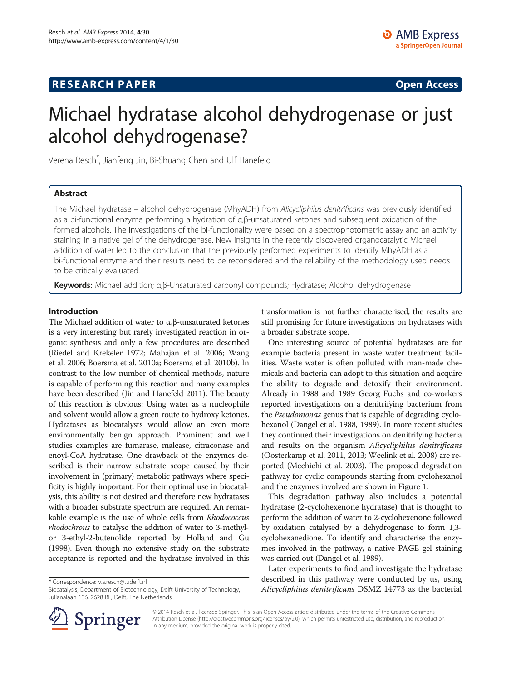## **RESEARCH PAPER CONSIDER CONSIDER CONSIDER CONSIDER CONSIDER CONSIDER CONSIDER CONSIDER CONSIDER**

# Michael hydratase alcohol dehydrogenase or just alcohol dehydrogenase?

Verena Resch\* , Jianfeng Jin, Bi-Shuang Chen and Ulf Hanefeld

## Abstract

The Michael hydratase – alcohol dehydrogenase (MhyADH) from Alicycliphilus denitrificans was previously identified as a bi-functional enzyme performing a hydration of α,β-unsaturated ketones and subsequent oxidation of the formed alcohols. The investigations of the bi-functionality were based on a spectrophotometric assay and an activity staining in a native gel of the dehydrogenase. New insights in the recently discovered organocatalytic Michael addition of water led to the conclusion that the previously performed experiments to identify MhyADH as a bi-functional enzyme and their results need to be reconsidered and the reliability of the methodology used needs to be critically evaluated.

Keywords: Michael addition; α,β-Unsaturated carbonyl compounds; Hydratase; Alcohol dehydrogenase

## Introduction

The Michael addition of water to α,β-unsaturated ketones is a very interesting but rarely investigated reaction in organic synthesis and only a few procedures are described (Riedel and Krekeler [1972](#page-6-0); Mahajan et al. [2006](#page-6-0); Wang et al. [2006;](#page-6-0) Boersma et al. [2010a;](#page-5-0) Boersma et al. [2010b\)](#page-5-0). In contrast to the low number of chemical methods, nature is capable of performing this reaction and many examples have been described (Jin and Hanefeld [2011](#page-6-0)). The beauty of this reaction is obvious: Using water as a nucleophile and solvent would allow a green route to hydroxy ketones. Hydratases as biocatalysts would allow an even more environmentally benign approach. Prominent and well studies examples are fumarase, malease, citraconase and enoyl-CoA hydratase. One drawback of the enzymes described is their narrow substrate scope caused by their involvement in (primary) metabolic pathways where specificity is highly important. For their optimal use in biocatalysis, this ability is not desired and therefore new hydratases with a broader substrate spectrum are required. An remarkable example is the use of whole cells from Rhodococcus rhodochrous to catalyse the addition of water to 3-methylor 3-ethyl-2-butenolide reported by Holland and Gu ([1998\)](#page-5-0). Even though no extensive study on the substrate acceptance is reported and the hydratase involved in this

\* Correspondence: [v.a.resch@tudelft.nl](mailto:v.a.resch@tudelft.nl)



One interesting source of potential hydratases are for example bacteria present in waste water treatment facilities. Waste water is often polluted with man-made chemicals and bacteria can adopt to this situation and acquire the ability to degrade and detoxify their environment. Already in 1988 and 1989 Georg Fuchs and co-workers reported investigations on a denitrifying bacterium from the Pseudomonas genus that is capable of degrading cyclohexanol (Dangel et al. [1988, 1989](#page-5-0)). In more recent studies they continued their investigations on denitrifying bacteria and results on the organism Alicycliphilus denitrificans (Oosterkamp et al. [2011, 2013;](#page-6-0) Weelink et al. [2008](#page-6-0)) are reported (Mechichi et al. [2003\)](#page-6-0). The proposed degradation pathway for cyclic compounds starting from cyclohexanol and the enzymes involved are shown in Figure [1](#page-1-0).

This degradation pathway also includes a potential hydratase (2-cyclohexenone hydratase) that is thought to perform the addition of water to 2-cyclohexenone followed by oxidation catalysed by a dehydrogenase to form 1,3 cyclohexanedione. To identify and characterise the enzymes involved in the pathway, a native PAGE gel staining was carried out (Dangel et al. [1989](#page-5-0)).

Later experiments to find and investigate the hydratase described in this pathway were conducted by us, using Alicycliphilus denitrificans DSMZ 14773 as the bacterial



© 2014 Resch et al.; licensee Springer. This is an Open Access article distributed under the terms of the Creative Commons Attribution License [\(http://creativecommons.org/licenses/by/2.0\)](http://creativecommons.org/licenses/by/2.0), which permits unrestricted use, distribution, and reproduction in any medium, provided the original work is properly cited.

Biocatalysis, Department of Biotechnology, Delft University of Technology, Julianalaan 136, 2628 BL, Delft, The Netherlands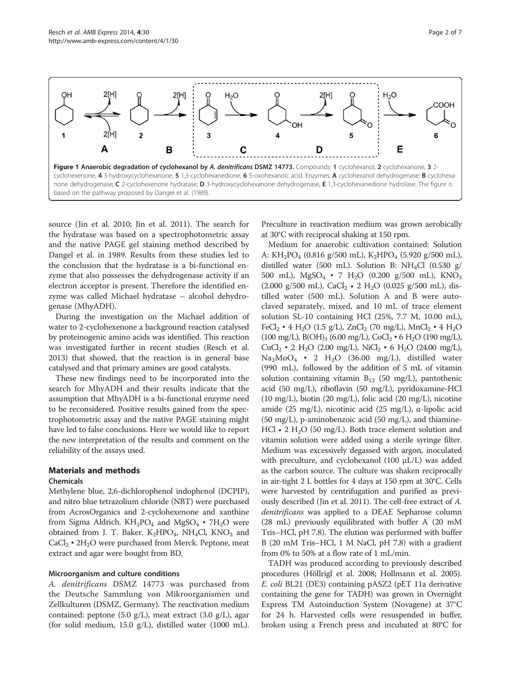<span id="page-1-0"></span>

source (Jin et al. [2010;](#page-6-0) Jin et al. [2011](#page-6-0)). The search for the hydratase was based on a spectrophotometric assay and the native PAGE gel staining method described by Dangel et al. in 1989. Results from these studies led to the conclusion that the hydratase is a bi-functional enzyme that also possesses the dehydrogenase activity if an electron acceptor is present. Therefore the identified enzyme was called Michael hydratase – alcohol dehydrogenase (MhyADH).

During the investigation on the Michael addition of water to 2-cyclohexenone a background reaction catalysed by proteinogenic amino acids was identified. This reaction was investigated further in recent studies (Resch et al. [2013\)](#page-6-0) that showed, that the reaction is in general base catalysed and that primary amines are good catalysts.

These new findings need to be incorporated into the search for MhyADH and their results indicate that the assumption that MhyADH is a bi-functional enzyme need to be reconsidered. Positive results gained from the spectrophotometric assay and the native PAGE staining might have led to false conclusions. Here we would like to report the new interpretation of the results and comment on the reliability of the assays used.

#### Materials and methods

#### Chemicals

Methylene blue, 2,6-dichlorophenol indophenol (DCPIP), and nitro blue tetrazolium chloride (NBT) were purchased from AcrosOrganics and 2-cyclohexenone and xanthine from Sigma Aldrich.  $KH_2PO_4$  and  $MgSO_4 \cdot 7H_2O$  were obtained from J. T. Baker.  $K_2HPO_4$ , NH<sub>4</sub>Cl, KNO<sub>3</sub> and  $CaCl<sub>2</sub> \cdot 2H<sub>2</sub>O$  were purchased from Merck. Peptone, meat extract and agar were bought from BD.

#### Microorganism and culture conditions

A. denitrificans DSMZ 14773 was purchased from the Deutsche Sammlung von Mikroorganismen und Zellkulturen (DSMZ, Germany). The reactivation medium contained: peptone (5.0 g/L), meat extract (3.0 g/L), agar (for solid medium, 15.0 g/L), distilled water (1000 mL). Preculture in reactivation medium was grown aerobically at 30°C with reciprocal shaking at 150 rpm.

Medium for anaerobic cultivation contained: Solution A:  $KH_2PO_4$  (0.816 g/500 mL),  $K_2HPO_4$  (5.920 g/500 mL), distilled water (500 mL). Solution B: NH4Cl (0.530 g/ 500 mL),  $MgSO_4 \cdot 7 H_2O$  (0.200 g/500 mL),  $KNO_3$ (2.000 g/500 mL), CaCl<sub>2</sub> • 2 H<sub>2</sub>O (0.025 g/500 mL), distilled water (500 mL). Solution A and B were autoclaved separately, mixed, and 10 mL of trace element solution SL-10 containing HCl (25%, 7.7 M, 10.00 mL), FeCl<sub>2</sub> • 4 H<sub>2</sub>O (1.5 g/L), ZnCl<sub>2</sub> (70 mg/L), MnCl<sub>2</sub> • 4 H<sub>2</sub>O  $(100 \text{ mg/L})$ , B $(OH)_{3}$  (6.00 mg/L), CoCl<sub>2</sub> • 6 H<sub>2</sub>O (190 mg/L),  $CuCl<sub>2</sub> • 2 H<sub>2</sub>O$  (2.00 mg/L), NiCl<sub>2</sub> • 6 H<sub>2</sub>O (24.00 mg/L),  $Na<sub>2</sub>MoO<sub>4</sub>$  • 2 H<sub>2</sub>O (36.00 mg/L), distilled water (990 mL), followed by the addition of 5 mL of vitamin solution containing vitamin  $B_{12}$  (50 mg/L), pantothenic acid (50 mg/L), riboflavin (50 mg/L), pyridoxamine-HCl (10 mg/L), biotin (20 mg/L), folic acid (20 mg/L), nicotine amide (25 mg/L), nicotinic acid (25 mg/L), α-lipolic acid  $(50 \text{ mg/L})$ , p-aminobenzoic acid  $(50 \text{ mg/L})$ , and thiamine-HCl  $\cdot$  2 H<sub>2</sub>O (50 mg/L). Both trace element solution and vitamin solution were added using a sterile syringe filter. Medium was excessively degassed with argon, inoculated with preculture, and cyclohexanol (100 μL/L) was added as the carbon source. The culture was shaken reciprocally in air-tight 2 L bottles for 4 days at 150 rpm at 30°C. Cells were harvested by centrifugation and purified as previously described (Jin et al. [2011](#page-6-0)). The cell-free extract of A. denitrificans was applied to a DEAE Sepharose column (28 mL) previously equilibrated with buffer A (20 mM Tris–HCl, pH 7.8). The elution was performed with buffer B (20 mM Tris–HCl, 1 M NaCl, pH 7.8) with a gradient from 0% to 50% at a flow rate of 1 mL/min.

TADH was produced according to previously described procedures (Höllrigl et al. [2008;](#page-5-0) Hollmann et al. [2005](#page-5-0)). E. coli BL21 (DE3) containing pASZ2 (pET 11a derivative containing the gene for TADH) was grown in Overnight Express TM Autoinduction System (Novagene) at 37°C for 24 h. Harvested cells were resuspended in buffer, broken using a French press and incubated at 80°C for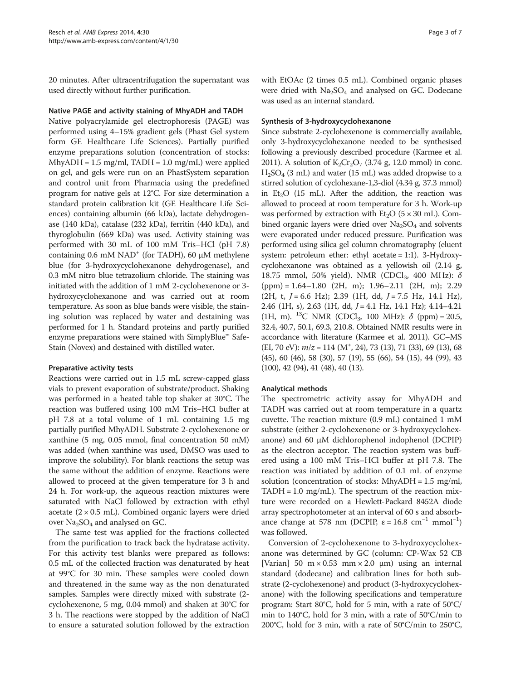20 minutes. After ultracentrifugation the supernatant was used directly without further purification.

### Native PAGE and activity staining of MhyADH and TADH

Native polyacrylamide gel electrophoresis (PAGE) was performed using 4–15% gradient gels (Phast Gel system form GE Healthcare Life Sciences). Partially purified enzyme preparations solution (concentration of stocks:  $MhyADH = 1.5$  mg/ml,  $TADH = 1.0$  mg/mL) were applied on gel, and gels were run on an PhastSystem separation and control unit from Pharmacia using the predefined program for native gels at 12°C. For size determination a standard protein calibration kit (GE Healthcare Life Sciences) containing albumin (66 kDa), lactate dehydrogenase (140 kDa), catalase (232 kDa), ferritin (440 kDa), and thyroglobulin (669 kDa) was used. Activity staining was performed with 30 mL of 100 mM Tris–HCl (pH 7.8) containing  $0.6$  mM NAD<sup>+</sup> (for TADH), 60  $\mu$ M methylene blue (for 3-hydroxycyclohexanone dehydrogenase), and 0.3 mM nitro blue tetrazolium chloride. The staining was initiated with the addition of 1 mM 2-cyclohexenone or 3 hydroxycyclohexanone and was carried out at room temperature. As soon as blue bands were visible, the staining solution was replaced by water and destaining was performed for 1 h. Standard proteins and partly purified enzyme preparations were stained with SimplyBlue™ Safe-Stain (Novex) and destained with distilled water.

#### Preparative activity tests

Reactions were carried out in 1.5 mL screw-capped glass vials to prevent evaporation of substrate/product. Shaking was performed in a heated table top shaker at 30°C. The reaction was buffered using 100 mM Tris–HCl buffer at pH 7.8 at a total volume of 1 mL containing 1.5 mg partially purified MhyADH. Substrate 2-cyclohexenone or xanthine (5 mg, 0.05 mmol, final concentration 50 mM) was added (when xanthine was used, DMSO was used to improve the solubility). For blank reactions the setup was the same without the addition of enzyme. Reactions were allowed to proceed at the given temperature for 3 h and 24 h. For work-up, the aqueous reaction mixtures were saturated with NaCl followed by extraction with ethyl acetate  $(2 \times 0.5 \text{ mL})$ . Combined organic layers were dried over  $Na<sub>2</sub>SO<sub>4</sub>$  and analysed on GC.

The same test was applied for the fractions collected from the purification to track back the hydratase activity. For this activity test blanks were prepared as follows: 0.5 mL of the collected fraction was denaturated by heat at 99°C for 30 min. These samples were cooled down and threatened in the same way as the non denaturated samples. Samples were directly mixed with substrate (2 cyclohexenone, 5 mg, 0.04 mmol) and shaken at 30°C for 3 h. The reactions were stopped by the addition of NaCl to ensure a saturated solution followed by the extraction

with EtOAc (2 times 0.5 mL). Combined organic phases were dried with Na<sub>2</sub>SO<sub>4</sub> and analysed on GC. Dodecane was used as an internal standard.

#### Synthesis of 3-hydroxycyclohexanone

Since substrate 2-cyclohexenone is commercially available, only 3-hydroxycyclohexanone needed to be synthesised following a previously described procedure (Karmee et al. [2011\)](#page-6-0). A solution of  $K_2Cr_2O_7$  (3.74 g, 12.0 mmol) in conc. H2SO4 (3 mL) and water (15 mL) was added dropwise to a stirred solution of cyclohexane-1,3-diol (4.34 g, 37.3 mmol) in Et<sub>2</sub>O (15 mL). After the addition, the reaction was allowed to proceed at room temperature for 3 h. Work-up was performed by extraction with  $Et<sub>2</sub>O$  (5  $\times$  30 mL). Combined organic layers were dried over  $Na<sub>2</sub>SO<sub>4</sub>$  and solvents were evaporated under reduced pressure. Purification was performed using silica gel column chromatography (eluent system: petroleum ether: ethyl acetate = 1:1). 3-Hydroxycyclohexanone was obtained as a yellowish oil (2.14 g, 18.75 mmol, 50% yield). NMR (CDCl<sub>3</sub>, 400 MHz):  $\delta$  $(ppm) = 1.64 - 1.80$  (2H, m); 1.96-2.11 (2H, m); 2.29  $(2H, t, J = 6.6 Hz)$ ; 2.39 (1H, dd,  $J = 7.5 Hz$ , 14.1 Hz), 2.46 (1H, s), 2.63 (1H, dd, J = 4.1 Hz, 14.1 Hz); 4.14-4.21 (1H, m). <sup>13</sup>C NMR (CDCl<sub>3</sub>, 100 MHz):  $\delta$  (ppm) = 20.5, 32.4, 40.7, 50.1, 69.3, 210.8. Obtained NMR results were in accordance with literature (Karmee et al. [2011\)](#page-6-0). GC–MS (EI, 70 eV):  $m/z = 114$  (M<sup>+</sup>, 24), 73 (13), 71 (33), 69 (13), 68 (45), 60 (46), 58 (30), 57 (19), 55 (66), 54 (15), 44 (99), 43 (100), 42 (94), 41 (48), 40 (13).

#### Analytical methods

The spectrometric activity assay for MhyADH and TADH was carried out at room temperature in a quartz cuvette. The reaction mixture (0.9 mL) contained 1 mM substrate (either 2-cyclohexenone or 3-hydroxycyclohexanone) and 60 μM dichlorophenol indophenol (DCPIP) as the electron acceptor. The reaction system was buffered using a 100 mM Tris–HCl buffer at pH 7.8. The reaction was initiated by addition of 0.1 mL of enzyme solution (concentration of stocks: MhyADH = 1.5 mg/ml,  $TADH = 1.0$  mg/mL). The spectrum of the reaction mixture were recorded on a Hewlett-Packard 8452A diode array spectrophotometer at an interval of 60 s and absorbance change at 578 nm (DCPIP,  $\varepsilon = 16.8$  cm<sup>-1</sup> mmol<sup>-1</sup>) was followed.

Conversion of 2-cyclohexenone to 3-hydroxycyclohexanone was determined by GC (column: CP-Wax 52 CB [Varian] 50  $m \times 0.53$  mm  $\times 2.0$  µm) using an internal standard (dodecane) and calibration lines for both substrate (2-cyclohexenone) and product (3-hydroxycyclohexanone) with the following specifications and temperature program: Start 80°C, hold for 5 min, with a rate of 50°C/ min to 140°C, hold for 3 min, with a rate of 50°C/min to 200°C, hold for 3 min, with a rate of 50°C/min to 250°C,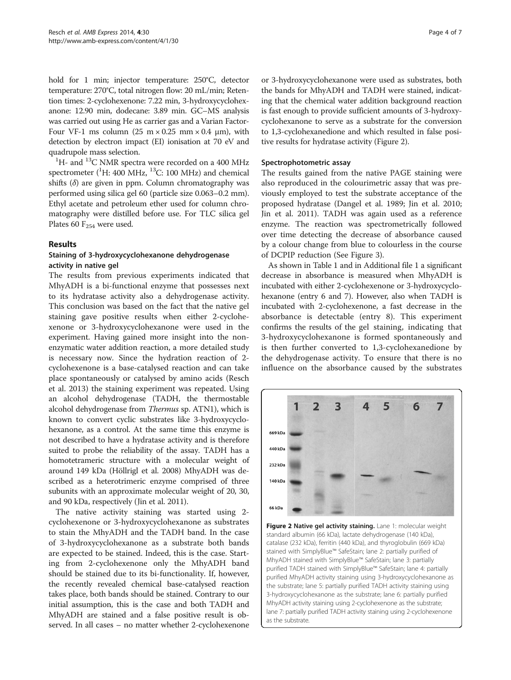hold for 1 min; injector temperature: 250°C, detector temperature: 270°C, total nitrogen flow: 20 mL/min; Retention times: 2-cyclohexenone: 7.22 min, 3-hydroxycyclohexanone: 12.90 min, dodecane: 3.89 min. GC–MS analysis was carried out using He as carrier gas and a Varian Factor-Four VF-1 ms column (25 m  $\times$  0.25 mm  $\times$  0.4 µm), with detection by electron impact (EI) ionisation at 70 eV and quadrupole mass selection. <sup>1</sup>

 ${}^{1}$ H- and  ${}^{13}$ C NMR spectra were recorded on a 400 MHz spectrometer  $(^{1}H: 400$  MHz,  $^{13}C: 100$  MHz) and chemical shifts  $(\delta)$  are given in ppm. Column chromatography was performed using silica gel 60 (particle size 0.063–0.2 mm). Ethyl acetate and petroleum ether used for column chromatography were distilled before use. For TLC silica gel Plates 60  $F_{254}$  were used.

### Results

## Staining of 3-hydroxycyclohexanone dehydrogenase activity in native gel

The results from previous experiments indicated that MhyADH is a bi-functional enzyme that possesses next to its hydratase activity also a dehydrogenase activity. This conclusion was based on the fact that the native gel staining gave positive results when either 2-cyclohexenone or 3-hydroxycyclohexanone were used in the experiment. Having gained more insight into the nonenzymatic water addition reaction, a more detailed study is necessary now. Since the hydration reaction of 2 cyclohexenone is a base-catalysed reaction and can take place spontaneously or catalysed by amino acids (Resch et al. [2013\)](#page-6-0) the staining experiment was repeated. Using an alcohol dehydrogenase (TADH, the thermostable alcohol dehydrogenase from Thermus sp. ATN1), which is known to convert cyclic substrates like 3-hydroxycyclohexanone, as a control. At the same time this enzyme is not described to have a hydratase activity and is therefore suited to probe the reliability of the assay. TADH has a homotetrameric structure with a molecular weight of around 149 kDa (Höllrigl et al. [2008](#page-5-0)) MhyADH was described as a heterotrimeric enzyme comprised of three subunits with an approximate molecular weight of 20, 30, and 90 kDa, respectively (Jin et al. [2011](#page-6-0)).

The native activity staining was started using 2 cyclohexenone or 3-hydroxycyclohexanone as substrates to stain the MhyADH and the TADH band. In the case of 3-hydroxycyclohexanone as a substrate both bands are expected to be stained. Indeed, this is the case. Starting from 2-cyclohexenone only the MhyADH band should be stained due to its bi-functionality. If, however, the recently revealed chemical base-catalysed reaction takes place, both bands should be stained. Contrary to our initial assumption, this is the case and both TADH and MhyADH are stained and a false positive result is observed. In all cases – no matter whether 2-cyclohexenone or 3-hydroxycyclohexanone were used as substrates, both the bands for MhyADH and TADH were stained, indicating that the chemical water addition background reaction is fast enough to provide sufficient amounts of 3-hydroxycyclohexanone to serve as a substrate for the conversion to 1,3-cyclohexanedione and which resulted in false positive results for hydratase activity (Figure 2).

### Spectrophotometric assay

The results gained from the native PAGE staining were also reproduced in the colourimetric assay that was previously employed to test the substrate acceptance of the proposed hydratase (Dangel et al. [1989](#page-5-0); Jin et al. [2010](#page-6-0); Jin et al. [2011](#page-6-0)). TADH was again used as a reference enzyme. The reaction was spectrometrically followed over time detecting the decrease of absorbance caused by a colour change from blue to colourless in the course of DCPIP reduction (See Figure [3\)](#page-4-0).

As shown in Table [1](#page-4-0) and in Additional file [1](#page-5-0) a significant decrease in absorbance is measured when MhyADH is incubated with either 2-cyclohexenone or 3-hydroxycyclohexanone (entry 6 and 7). However, also when TADH is incubated with 2-cyclohexenone, a fast decrease in the absorbance is detectable (entry 8). This experiment confirms the results of the gel staining, indicating that 3-hydroxycyclohexanone is formed spontaneously and is then further converted to 1,3-cyclohexanedione by the dehydrogenase activity. To ensure that there is no influence on the absorbance caused by the substrates



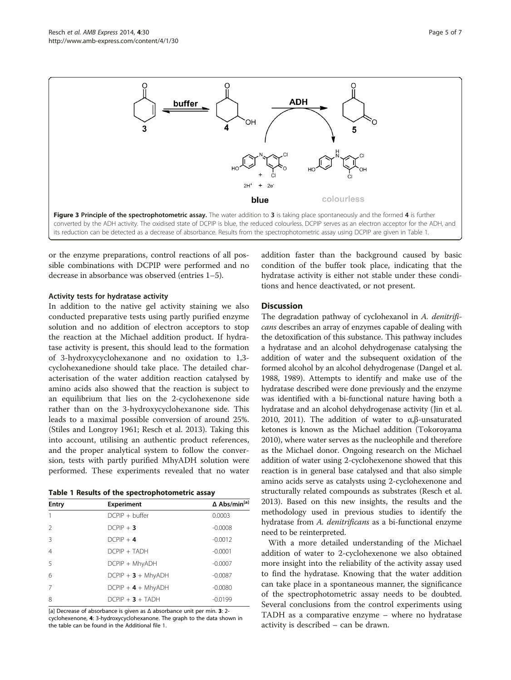<span id="page-4-0"></span>

or the enzyme preparations, control reactions of all possible combinations with DCPIP were performed and no decrease in absorbance was observed (entries 1–5).

#### Activity tests for hydratase activity

In addition to the native gel activity staining we also conducted preparative tests using partly purified enzyme solution and no addition of electron acceptors to stop the reaction at the Michael addition product. If hydratase activity is present, this should lead to the formation of 3-hydroxycyclohexanone and no oxidation to 1,3 cyclohexanedione should take place. The detailed characterisation of the water addition reaction catalysed by amino acids also showed that the reaction is subject to an equilibrium that lies on the 2-cyclohexenone side rather than on the 3-hydroxycyclohexanone side. This leads to a maximal possible conversion of around 25%. (Stiles and Longroy [1961](#page-6-0); Resch et al. [2013\)](#page-6-0). Taking this into account, utilising an authentic product references, and the proper analytical system to follow the conversion, tests with partly purified MhyADH solution were performed. These experiments revealed that no water

|  |  | Table 1 Results of the spectrophotometric assay |  |  |  |  |  |  |  |  |  |
|--|--|-------------------------------------------------|--|--|--|--|--|--|--|--|--|
|--|--|-------------------------------------------------|--|--|--|--|--|--|--|--|--|

| <b>Entry</b>   | <b>Experiment</b>    | ∆ Abs/min <sup>[a]</sup> |  |  |
|----------------|----------------------|--------------------------|--|--|
|                | $DCPIP + buffer$     | 0.0003                   |  |  |
| $\mathcal{P}$  | $DCPIP + 3$          | $-0.0008$                |  |  |
| $\mathcal{R}$  | $DCPIP + 4$          | $-0.0012$                |  |  |
| $\overline{4}$ | $DCPIP + TADH$       | $-0.0001$                |  |  |
| $\overline{5}$ | DCPIP + MhyADH       | $-0.0007$                |  |  |
| 6              | $DCPIP + 3 + MhyADH$ | $-0.0087$                |  |  |
| 7              | $DCPIP + 4 + MhyADH$ | $-0.0080$                |  |  |
| 8              | $DCPIP + 3 + TADH$   | $-0.0199$                |  |  |

[a] Decrease of absorbance is given as Δ absorbance unit per min. 3: 2 cyclohexenone, 4: 3-hydroxycyclohexanone. The graph to the data shown in the table can be found in the Additional file [1.](#page-5-0)

addition faster than the background caused by basic condition of the buffer took place, indicating that the hydratase activity is either not stable under these conditions and hence deactivated, or not present.

#### **Discussion**

The degradation pathway of cyclohexanol in A. denitrificans describes an array of enzymes capable of dealing with the detoxification of this substance. This pathway includes a hydratase and an alcohol dehydrogenase catalysing the addition of water and the subsequent oxidation of the formed alcohol by an alcohol dehydrogenase (Dangel et al. [1988](#page-5-0), [1989](#page-5-0)). Attempts to identify and make use of the hydratase described were done previously and the enzyme was identified with a bi-functional nature having both a hydratase and an alcohol dehydrogenase activity (Jin et al. [2010](#page-6-0), [2011\)](#page-6-0). The addition of water to  $α, β$ -unsaturated ketones is known as the Michael addition (Tokoroyama [2010](#page-6-0)), where water serves as the nucleophile and therefore as the Michael donor. Ongoing research on the Michael addition of water using 2-cyclohexenone showed that this reaction is in general base catalysed and that also simple amino acids serve as catalysts using 2-cyclohexenone and structurally related compounds as substrates (Resch et al. [2013](#page-6-0)). Based on this new insights, the results and the methodology used in previous studies to identify the hydratase from A. *denitrificans* as a bi-functional enzyme need to be reinterpreted.

With a more detailed understanding of the Michael addition of water to 2-cyclohexenone we also obtained more insight into the reliability of the activity assay used to find the hydratase. Knowing that the water addition can take place in a spontaneous manner, the significance of the spectrophotometric assay needs to be doubted. Several conclusions from the control experiments using TADH as a comparative enzyme – where no hydratase activity is described – can be drawn.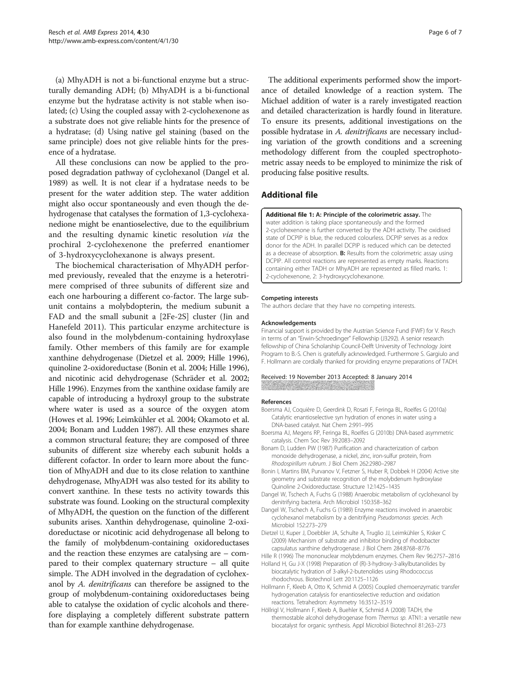<span id="page-5-0"></span>(a) MhyADH is not a bi-functional enzyme but a structurally demanding ADH; (b) MhyADH is a bi-functional enzyme but the hydratase activity is not stable when isolated; (c) Using the coupled assay with 2-cyclohexenone as a substrate does not give reliable hints for the presence of a hydratase; (d) Using native gel staining (based on the same principle) does not give reliable hints for the presence of a hydratase.

All these conclusions can now be applied to the proposed degradation pathway of cyclohexanol (Dangel et al. 1989) as well. It is not clear if a hydratase needs to be present for the water addition step. The water addition might also occur spontaneously and even though the dehydrogenase that catalyses the formation of 1,3-cyclohexanedione might be enantioselective, due to the equilibrium and the resulting dynamic kinetic resolution via the prochiral 2-cyclohexenone the preferred enantiomer of 3-hydroxycyclohexanone is always present.

The biochemical characterisation of MhyADH performed previously, revealed that the enzyme is a heterotrimere comprised of three subunits of different size and each one harbouring a different co-factor. The large subunit contains a molybdopterin, the medium subunit a FAD and the small subunit a [2Fe-2S] cluster (Jin and Hanefeld [2011](#page-6-0)). This particular enzyme architecture is also found in the molybdenum-containing hydroxylase family. Other members of this family are for example xanthine dehydrogenase (Dietzel et al. 2009; Hille 1996), quinoline 2-oxidoreductase (Bonin et al. 2004; Hille 1996), and nicotinic acid dehydrogenase (Schräder et al. [2002](#page-6-0); Hille 1996). Enzymes from the xanthine oxidase family are capable of introducing a hydroxyl group to the substrate where water is used as a source of the oxygen atom (Howes et al. [1996](#page-6-0); Leimkühler et al. [2004;](#page-6-0) Okamoto et al. [2004;](#page-6-0) Bonam and Ludden 1987). All these enzymes share a common structural feature; they are composed of three subunits of different size whereby each subunit holds a different cofactor. In order to learn more about the function of MhyADH and due to its close relation to xanthine dehydrogenase, MhyADH was also tested for its ability to convert xanthine. In these tests no activity towards this substrate was found. Looking on the structural complexity of MhyADH, the question on the function of the different subunits arises. Xanthin dehydrogenase, quinoline 2-oxidoreductase or nicotinic acid dehydrogenase all belong to the family of molybdenum-containing oxidoreductases and the reaction these enzymes are catalysing are – compared to their complex quaternary structure – all quite simple. The ADH involved in the degradation of cyclohexanol by A. *denitrificans* can therefore be assigned to the group of molybdenum-containing oxidoreductases being able to catalyse the oxidation of cyclic alcohols and therefore displaying a completely different substrate pattern than for example xanthine dehydrogenase.

The additional experiments performed show the importance of detailed knowledge of a reaction system. The Michael addition of water is a rarely investigated reaction and detailed characterization is hardly found in literature. To ensure its presents, additional investigations on the possible hydratase in A. denitrificans are necessary including variation of the growth conditions and a screening methodology different from the coupled spectrophotometric assay needs to be employed to minimize the risk of producing false positive results.

### Additional file

[Additional file 1:](http://www.biomedcentral.com/content/supplementary/13568_2014_30_MOESM1_ESM.docx) A: Principle of the colorimetric assay. The water addition is taking place spontaneously and the formed 2-cyclohexenone is further converted by the ADH activity. The oxidised state of DCPIP is blue, the reduced colourless. DCPIP serves as a redox donor for the ADH. In parallel DCPIP is reduced which can be detected as a decrease of absorption. B: Results from the colorimetric assay using DCPIP. All control reactions are represented as empty marks. Reactions containing either TADH or MhyADH are represented as filled marks. 1: 2-cyclohexenone, 2: 3-hydroxycyclohexanone.

#### Competing interests

The authors declare that they have no competing interests.

#### Acknowledgements

Financial support is provided by the Austrian Science Fund (FWF) for V. Resch in terms of an "Erwin-Schroedinger" Fellowship (J3292). A senior research fellowship of China Scholarship Council-Delft University of Technology Joint Program to B.-S. Chen is gratefully acknowledged. Furthermore S. Gargiulo and F. Hollmann are cordially thanked for providing enzyme preparations of TADH.

#### Received: 19 November 2013 Accepted: 8 January 2014

#### References

- Boersma AJ, Coquière D, Geerdink D, Rosati F, Feringa BL, Roelfes G (2010a) Catalytic enantioselective syn hydration of enones in water using a DNA-based catalyst. Nat Chem 2:991–995
- Boersma AJ, Megens RP, Feringa BL, Roelfes G (2010b) DNA-based asymmetric catalysis. Chem Soc Rev 39:2083–2092
- Bonam D, Ludden PW (1987) Purification and characterization of carbon monoxide dehydrogenase, a nickel, zinc, iron-sulfur protein, from Rhodospirillum rubrum. J Biol Chem 262:2980–2987
- Bonin I, Martins BM, Purvanov V, Fetzner S, Huber R, Dobbek H (2004) Active site geometry and substrate recognition of the molybdenum hydroxylase Quinoline 2-Oxidoreductase. Structure 12:1425–1435
- Dangel W, Tschech A, Fuchs G (1988) Anaerobic metabolism of cyclohexanol by denitrifying bacteria. Arch Microbiol 150:358–362
- Dangel W, Tschech A, Fuchs G (1989) Enzyme reactions involved in anaerobic cyclohexanol metabolism by a denitrifying Pseudomonas species. Arch Microbiol 152:273–279
- Dietzel U, Kuper J, Doebbler JA, Schulte A, Truglio JJ, Leimkühler S, Kisker C (2009) Mechanism of substrate and inhibitor binding of rhodobacter capsulatus xanthine dehydrogenase. J Biol Chem 284:8768–8776
- Hille R (1996) The mononuclear molybdenum enzymes. Chem Rev 96:2757–2816
- Holland H, Gu J-X (1998) Preparation of (R)-3-hydroxy-3-alkylbutanolides by biocatalytic hydration of 3-alkyl-2-butenolides using Rhodococcus rhodochrous. Biotechnol Lett 20:1125–1126
- Hollmann F, Kleeb A, Otto K, Schmid A (2005) Coupled chemoenzymatic transfer hydrogenation catalysis for enantioselective reduction and oxidation reactions. Tetrahedron: Asymmetry 16:3512–3519
- Höllrigl V, Hollmann F, Kleeb A, Buehler K, Schmid A (2008) TADH, the thermostable alcohol dehydrogenase from Thermus sp. ATN1: a versatile new biocatalyst for organic synthesis. Appl Microbiol Biotechnol 81:263–273